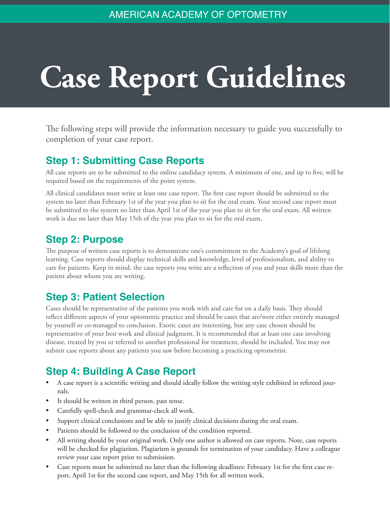# **Case Report Guidelines**

The following steps will provide the information necessary to guide you successfully to completion of your case report.

# **Step 1: Submitting Case Reports**

All case reports are to be submitted to the online candidacy system. A minimum of one, and up to five, will be required based on the requirements of the point system.

All clinical candidates must write at least one case report. The first case report should be submitted to the system no later than February 1st of the year you plan to sit for the oral exam. Your second case report must be submitted to the system no later than April 1st of the year you plan to sit for the oral exam. All written work is due no later than May 15th of the year you plan to sit for the oral exam.

# **Step 2: Purpose**

The purpose of written case reports is to demonstrate one's commitment to the Academy's goal of lifelong learning. Case reports should display technical skills and knowledge, level of professionalism, and ability to care for patients. Keep in mind, the case reports you write are a reflection of you and your skills more than the patient about whom you are writing.

# **Step 3: Patient Selection**

Cases should be representative of the patients you work with and care for on a daily basis. They should reflect different aspects of your optometric practice and should be cases that are/were either entirely managed by yourself or co-managed to conclusion. Exotic cases are interesting, but any case chosen should be representative of your best work and clinical judgment. It is recommended that at least one case involving disease, treated by you or referred to another professional for treatment, should be included. You may not submit case reports about any patients you saw before becoming a practicing optometrist.

# **Step 4: Building A Case Report**

- A case report is a scientific writing and should ideally follow the writing style exhibited in refereed journals.
- It should be written in third person, past tense.
- Carefully spell-check and grammar-check all work.
- Support clinical conclusions and be able to justify clinical decisions during the oral exam.
- Patients should be followed to the conclusion of the condition reported.
- All writing should be your original work. Only one author is allowed on case reports. Note, case reports will be checked for plagiarism. Plagiarism is grounds for termination of your candidacy. Have a colleague review your case report prior to submission.
- Case reports must be submitted no later than the following deadlines: February 1st for the first case report, April 1st for the second case report, and May 15th for all written work.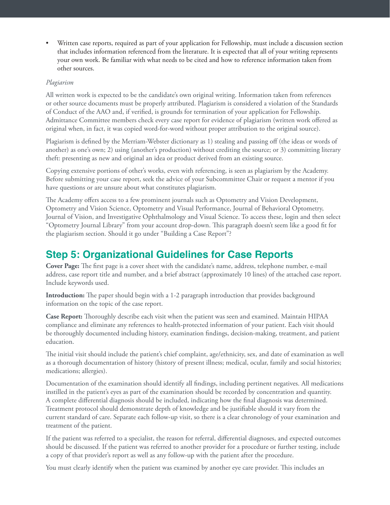• Written case reports, required as part of your application for Fellowship, must include a discussion section that includes information referenced from the literature. It is expected that all of your writing represents your own work. Be familiar with what needs to be cited and how to reference information taken from other sources.

#### *Plagiarism*

All written work is expected to be the candidate's own original writing. Information taken from references or other source documents must be properly attributed. Plagiarism is considered a violation of the Standards of Conduct of the AAO and, if verified, is grounds for termination of your application for Fellowship. Admittance Committee members check every case report for evidence of plagiarism (written work offered as original when, in fact, it was copied word-for-word without proper attribution to the original source).

Plagiarism is defined by the Merriam-Webster dictionary as 1) stealing and passing off (the ideas or words of another) as one's own; 2) using (another's production) without crediting the source; or 3) committing literary theft: presenting as new and original an idea or product derived from an existing source.

Copying extensive portions of other's works, even with referencing, is seen as plagiarism by the Academy. Before submitting your case report, seek the advice of your Subcommittee Chair or request a mentor if you have questions or are unsure about what constitutes plagiarism.

The Academy offers access to a few prominent journals such as Optometry and Vision Development, Optometry and Vision Science, Optometry and Visual Performance, Journal of Behavioral Optometry, Journal of Vision, and Investigative Ophthalmology and Visual Science. To access these, login and then select "Optometry Journal Library" from your account drop-down. This paragraph doesn't seem like a good fit for the plagiarism section. Should it go under "Building a Case Report"?

#### **Step 5: Organizational Guidelines for Case Reports**

**Cover Page:** The first page is a cover sheet with the candidate's name, address, telephone number, e-mail address, case report title and number, and a brief abstract (approximately 10 lines) of the attached case report. Include keywords used.

**Introduction:** The paper should begin with a 1-2 paragraph introduction that provides background information on the topic of the case report.

**Case Report:** Thoroughly describe each visit when the patient was seen and examined. Maintain HIPAA compliance and eliminate any references to health-protected information of your patient. Each visit should be thoroughly documented including history, examination findings, decision-making, treatment, and patient education.

The initial visit should include the patient's chief complaint, age/ethnicity, sex, and date of examination as well as a thorough documentation of history (history of present illness; medical, ocular, family and social histories; medications; allergies).

Documentation of the examination should identify all findings, including pertinent negatives. All medications instilled in the patient's eyes as part of the examination should be recorded by concentration and quantity. A complete differential diagnosis should be included, indicating how the final diagnosis was determined. Treatment protocol should demonstrate depth of knowledge and be justifiable should it vary from the current standard of care. Separate each follow-up visit, so there is a clear chronology of your examination and treatment of the patient.

If the patient was referred to a specialist, the reason for referral, differential diagnoses, and expected outcomes should be discussed. If the patient was referred to another provider for a procedure or further testing, include a copy of that provider's report as well as any follow-up with the patient after the procedure.

You must clearly identify when the patient was examined by another eye care provider. This includes an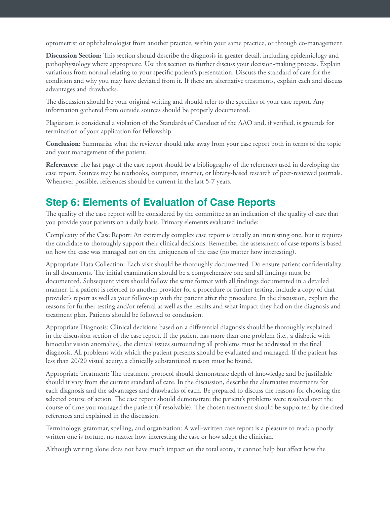optometrist or ophthalmologist from another practice, within your same practice, or through co-management.

**Discussion Section:** This section should describe the diagnosis in greater detail, including epidemiology and pathophysiology where appropriate. Use this section to further discuss your decision-making process. Explain variations from normal relating to your specific patient's presentation. Discuss the standard of care for the condition and why you may have deviated from it. If there are alternative treatments, explain each and discuss advantages and drawbacks.

The discussion should be your original writing and should refer to the specifics of your case report. Any information gathered from outside sources should be properly documented.

Plagiarism is considered a violation of the Standards of Conduct of the AAO and, if verified, is grounds for termination of your application for Fellowship.

**Conclusion:** Summarize what the reviewer should take away from your case report both in terms of the topic and your management of the patient.

**References:** The last page of the case report should be a bibliography of the references used in developing the case report. Sources may be textbooks, computer, internet, or library-based research of peer-reviewed journals. Whenever possible, references should be current in the last 5-7 years.

#### **Step 6: Elements of Evaluation of Case Reports**

The quality of the case report will be considered by the committee as an indication of the quality of care that you provide your patients on a daily basis. Primary elements evaluated include:

Complexity of the Case Report: An extremely complex case report is usually an interesting one, but it requires the candidate to thoroughly support their clinical decisions. Remember the assessment of case reports is based on how the case was managed not on the uniqueness of the case (no matter how interesting).

Appropriate Data Collection: Each visit should be thoroughly documented. Do ensure patient confidentiality in all documents. The initial examination should be a comprehensive one and all findings must be documented. Subsequent visits should follow the same format with all findings documented in a detailed manner. If a patient is referred to another provider for a procedure or further testing, include a copy of that provider's report as well as your follow-up with the patient after the procedure. In the discussion, explain the reasons for further testing and/or referral as well as the results and what impact they had on the diagnosis and treatment plan. Patients should be followed to conclusion.

Appropriate Diagnosis: Clinical decisions based on a differential diagnosis should be thoroughly explained in the discussion section of the case report. If the patient has more than one problem (i.e., a diabetic with binocular vision anomalies), the clinical issues surrounding all problems must be addressed in the final diagnosis. All problems with which the patient presents should be evaluated and managed. If the patient has less than 20/20 visual acuity, a clinically substantiated reason must be found.

Appropriate Treatment: The treatment protocol should demonstrate depth of knowledge and be justifiable should it vary from the current standard of care. In the discussion, describe the alternative treatments for each diagnosis and the advantages and drawbacks of each. Be prepared to discuss the reasons for choosing the selected course of action. The case report should demonstrate the patient's problems were resolved over the course of time you managed the patient (if resolvable). The chosen treatment should be supported by the cited references and explained in the discussion.

Terminology, grammar, spelling, and organization: A well-written case report is a pleasure to read; a poorly written one is torture, no matter how interesting the case or how adept the clinician.

Although writing alone does not have much impact on the total score, it cannot help but affect how the